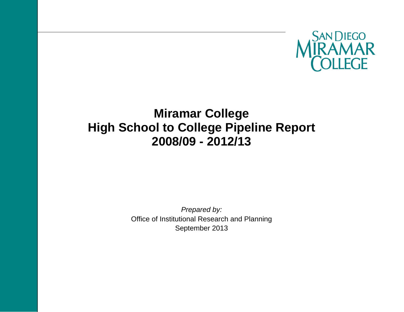

# **Miramar College High School to College Pipeline Report 2008/09 - 2012/13**

*Prepared by:*  Office of Institutional Research and Planning September 2013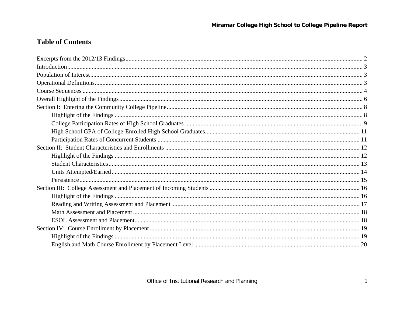## **Table of Contents**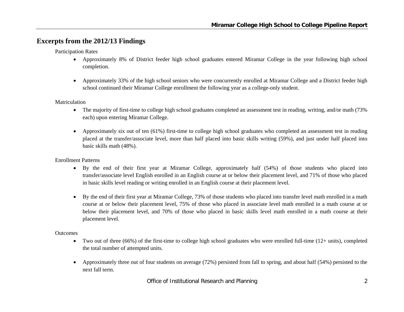## **Excerpts from the 2012/13 Findings**

Participation Rates

- Approximately 8% of District feeder high school graduates entered Miramar College in the year following high school completion.
- $\bullet$  Approximately 33% of the high school seniors who were concurrently enrolled at Miramar College and a District feeder high school continued their Miramar College enrollment the following year as a college-only student.

Matriculation

- $\bullet$  The majority of first-time to college high school graduates completed an assessment test in reading, writing, and/or math (73% each) upon entering Miramar College.
- Approximately six out of ten (61%) first-time to college high school graduates who completed an assessment test in reading placed at the transfer/associate level, more than half placed into basic skills writing (59%), and just under half placed into basic skills math (48%).

Enrollment Patterns

- By the end of their first year at Miramar College, approximately half (54%) of those students who placed into transfer/associate level English enrolled in an English course at or below their placement level, and 71% of those who placed in basic skills level reading or writing enrolled in an English course at their placement level.
- By the end of their first year at Miramar College, 73% of those students who placed into transfer level math enrolled in a math course at or below their placement level, 75% of those who placed in associate level math enrolled in a math course at or below their placement level, and 70% of those who placed in basic skills level math enrolled in a math course at their placement level.

**Outcomes** 

- $\bullet$  Two out of three (66%) of the first-time to college high school graduates who were enrolled full-time (12+ units), completed the total number of attempted units.
- $\bullet$  Approximately three out of four students on average (72%) persisted from fall to spring, and about half (54%) persisted to the next fall term.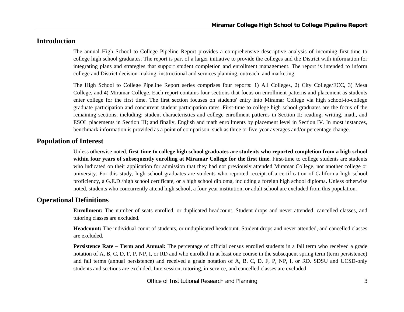## **Introduction**

The annual High School to College Pipeline Report provides a comprehensive descriptive analysis of incoming first-time to college high school graduates. The report is part of a larger initiative to provide the colleges and the District with information for integrating plans and strategies that support student completion and enrollment management. The report is intended to inform college and District decision-making, instructional and services planning, outreach, and marketing.

The High School to College Pipeline Report series comprises four reports: 1) All Colleges, 2) City College/ECC, 3) Mesa College, and 4) Miramar College. Each report contains four sections that focus on enrollment patterns and placement as students enter college for the first time. The first section focuses on students' entry into Miramar College via high school-to-college graduate participation and concurrent student participation rates. First-time to college high school graduates are the focus of the remaining sections, including: student characteristics and college enrollment patterns in Section II; reading, writing, math, and ESOL placements in Section III; and finally, English and math enrollments by placement level in Section IV. In most instances, benchmark information is provided as a point of comparison, such as three or five-year averages and/or percentage change.

## **Population of Interest**

Unless otherwise noted, **first-time to college high school graduates are students who reported completion from a high school within four years of subsequently enrolling at Miramar College for the first time.** First-time to college students are students who indicated on their application for admission that they had not previously attended Miramar College, nor another college or university. For this study, high school graduates are students who reported receipt of a certification of California high school proficiency, a G.E.D./high school certificate, or a high school diploma, including a foreign high school diploma. Unless otherwise noted, students who concurrently attend high school, a four-year institution, or adult school are excluded from this population.

## **Operational Definitions**

**Enrollment:** The number of seats enrolled, or duplicated headcount. Student drops and never attended, cancelled classes, and tutoring classes are excluded.

**Headcount:** The individual count of students, or unduplicated headcount. Student drops and never attended, and cancelled classes are excluded.

**Persistence Rate – Term and Annual:** The percentage of official census enrolled students in a fall term who received a grade notation of A, B, C, D, F, P, NP, I, or RD and who enrolled in at least one course in the subsequent spring term (term persistence) and fall terms (annual persistence) and received a grade notation of A, B, C, D, F, P, NP, I, or RD. SDSU and UCSD-only students and sections are excluded. Intersession, tutoring, in-service, and cancelled classes are excluded.

Office of Institutional Research and Planning 33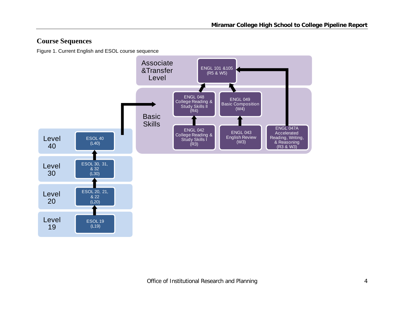## **Course Sequences**

Figure 1. Current English and ESOL course sequence

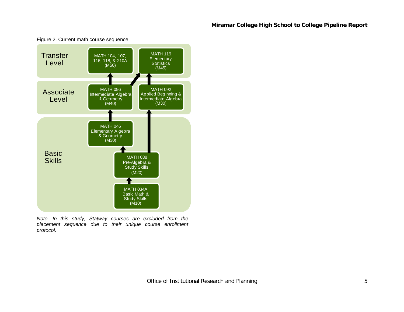

Figure 2. Current math course sequence

*Note. In this study, Statway courses are excluded from the placement sequence due to their unique course enrollment protocol.*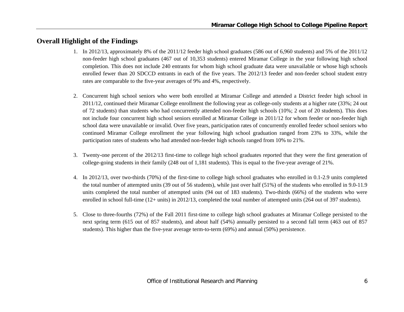## **Overall Highlight of the Findings**

- 1. In 2012/13, approximately 8% of the 2011/12 feeder high school graduates (586 out of 6,960 students) and 5% of the 2011/12 non-feeder high school graduates (467 out of 10,353 students) entered Miramar College in the year following high school completion. This does not include 240 entrants for whom high school graduate data were unavailable or whose high schools enrolled fewer than 20 SDCCD entrants in each of the five years. The 2012/13 feeder and non-feeder school student entry rates are comparable to the five-year averages of 9% and 4%, respectively.
- 2. Concurrent high school seniors who were both enrolled at Miramar College and attended a District feeder high school in 2011/12, continued their Miramar College enrollment the following year as college-only students at a higher rate (33%; 24 out of 72 students) than students who had concurrently attended non-feeder high schools (10%; 2 out of 20 students). This does not include four concurrent high school seniors enrolled at Miramar College in 2011/12 for whom feeder or non-feeder high school data were unavailable or invalid. Over five years, participation rates of concurrently enrolled feeder school seniors who continued Miramar College enrollment the year following high school graduation ranged from 23% to 33%, while the participation rates of students who had attended non-feeder high schools ranged from 10% to 21%.
- 3. Twenty-one percent of the 2012/13 first-time to college high school graduates reported that they were the first generation of college-going students in their family (248 out of 1,181 students). This is equal to the five-year average of 21%.
- 4. In 2012/13, over two-thirds (70%) of the first-time to college high school graduates who enrolled in 0.1-2.9 units completed the total number of attempted units (39 out of 56 students), while just over half (51%) of the students who enrolled in 9.0-11.9 units completed the total number of attempted units (94 out of 183 students). Two-thirds (66%) of the students who were enrolled in school full-time (12+ units) in 2012/13, completed the total number of attempted units (264 out of 397 students).
- 5. Close to three-fourths (72%) of the Fall 2011 first-time to college high school graduates at Miramar College persisted to the next spring term (615 out of 857 students), and about half (54%) annually persisted to a second fall term (463 out of 857 students). This higher than the five-year average term-to-term (69%) and annual (50%) persistence.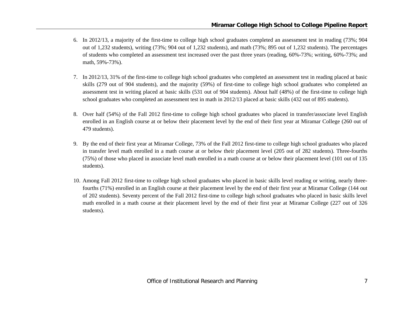- 6. In 2012/13, a majority of the first-time to college high school graduates completed an assessment test in reading (73%; 904 out of 1,232 students), writing (73%; 904 out of 1,232 students), and math (73%; 895 out of 1,232 students). The percentages of students who completed an assessment test increased over the past three years (reading, 60%-73%; writing, 60%-73%; and math, 59%-73%).
- 7. In 2012/13, 31% of the first-time to college high school graduates who completed an assessment test in reading placed at basic skills (279 out of 904 students), and the majority (59%) of first-time to college high school graduates who completed an assessment test in writing placed at basic skills (531 out of 904 students). About half (48%) of the first-time to college high school graduates who completed an assessment test in math in 2012/13 placed at basic skills (432 out of 895 students).
- 8. Over half (54%) of the Fall 2012 first-time to college high school graduates who placed in transfer/associate level English enrolled in an English course at or below their placement level by the end of their first year at Miramar College (260 out of 479 students).
- 9. By the end of their first year at Miramar College, 73% of the Fall 2012 first-time to college high school graduates who placed in transfer level math enrolled in a math course at or below their placement level (205 out of 282 students). Three-fourths (75%) of those who placed in associate level math enrolled in a math course at or below their placement level (101 out of 135 students).
- 10. Among Fall 2012 first-time to college high school graduates who placed in basic skills level reading or writing, nearly threefourths (71%) enrolled in an English course at their placement level by the end of their first year at Miramar College (144 out of 202 students). Seventy percent of the Fall 2012 first-time to college high school graduates who placed in basic skills level math enrolled in a math course at their placement level by the end of their first year at Miramar College (227 out of 326 students).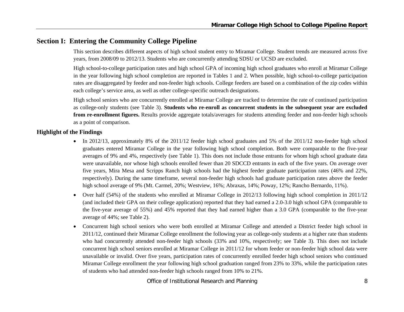## **Section I: Entering the Community College Pipeline**

This section describes different aspects of high school student entry to Miramar College. Student trends are measured across five years, from 2008/09 to 2012/13. Students who are concurrently attending SDSU or UCSD are excluded.

High school-to-college participation rates and high school GPA of incoming high school graduates who enroll at Miramar College in the year following high school completion are reported in Tables 1 and 2. When possible, high school-to-college participation rates are disaggregated by feeder and non-feeder high schools. College feeders are based on a combination of the zip codes within each college's service area, as well as other college-specific outreach designations.

High school seniors who are concurrently enrolled at Miramar College are tracked to determine the rate of continued participation as college-only students (see Table 3). **Students who re-enroll as concurrent students in the subsequent year are excluded from re-enrollment figures.** Results provide aggregate totals/averages for students attending feeder and non-feeder high schools as a point of comparison.

#### **Highlight of the Findings**

- In 2012/13, approximately 8% of the 2011/12 feeder high school graduates and 5% of the 2011/12 non-feeder high school graduates entered Miramar College in the year following high school completion. Both were comparable to the five-year averages of 9% and 4%, respectively (see Table 1). This does not include those entrants for whom high school graduate data were unavailable, nor whose high schools enrolled fewer than 20 SDCCD entrants in each of the five years. On average over five years, Mira Mesa and Scripps Ranch high schools had the highest feeder graduate participation rates (46% and 22%, respectively). During the same timeframe, several non-feeder high schools had graduate participation rates above the feeder high school average of 9% (Mt. Carmel, 20%; Westview, 16%; Abraxas, 14%; Poway, 12%; Rancho Bernardo, 11%).
- $\bullet$  Over half (54%) of the students who enrolled at Miramar College in 2012/13 following high school completion in 2011/12 (and included their GPA on their college application) reported that they had earned a 2.0-3.0 high school GPA (comparable to the five-year average of 55%) and 45% reported that they had earned higher than a 3.0 GPA (comparable to the five-year average of 44%; see Table 2).
- $\bullet$  Concurrent high school seniors who were both enrolled at Miramar College and attended a District feeder high school in 2011/12, continued their Miramar College enrollment the following year as college-only students at a higher rate than students who had concurrently attended non-feeder high schools (33% and 10%, respectively; see Table 3). This does not include concurrent high school seniors enrolled at Miramar College in 2011/12 for whom feeder or non-feeder high school data were unavailable or invalid. Over five years, participation rates of concurrently enrolled feeder high school seniors who continued Miramar College enrollment the year following high school graduation ranged from 23% to 33%, while the participation rates of students who had attended non-feeder high schools ranged from 10% to 21%.

Office of Institutional Research and Planning 8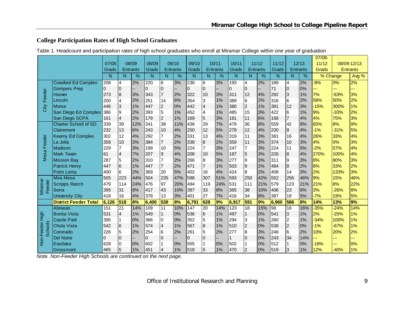## **College Participation Rates of High School Graduates**

| Table 1. Headcount and participation rates of high school graduates who enroll at Miramar College within one year of graduation |  |  |  |
|---------------------------------------------------------------------------------------------------------------------------------|--|--|--|
|                                                                                                                                 |  |  |  |

|                          |                              |          |                  |                 |             |                         |                 |          |                 |                 |       |                |                 |       |                |                 | 07/08- |                  |                 |
|--------------------------|------------------------------|----------|------------------|-----------------|-------------|-------------------------|-----------------|----------|-----------------|-----------------|-------|----------------|-----------------|-------|----------------|-----------------|--------|------------------|-----------------|
|                          |                              | 07/08    |                  | 08/09           | 08/09       |                         | 09/10           | 09/10    |                 | 10/11           | 10/11 |                | 11/12           | 11/12 |                | 12/13           | 11/12  |                  | 08/09-12/13     |
|                          |                              | Grads    |                  | <b>Entrants</b> | Grads       |                         | <b>Entrants</b> | Grads    |                 | <b>Entrants</b> | Grads |                | <b>Entrants</b> | Grads |                | <b>Entrants</b> | Grads  |                  | <b>Entrants</b> |
|                          |                              | N        | N                | %               | N           | N                       | %               | N        | N               | $\%$            | N     | N              | %               | N     | N              | %               |        | % Change         | Avg %           |
|                          | <b>Crawford Ed Complex</b>   | 208      | 4                | 2%              | 220         | 6                       | 3%              | 236      | 6               | 3%              | 193   | 4              | 2%              | 189   | 4              | 2%              | $-9%$  | $\overline{0\%}$ | 2%              |
|                          | <b>Gompers Prep</b>          | $\Omega$ | 0                |                 | $\mathbf 0$ | $\overline{0}$          |                 | 0        | $\overline{0}$  |                 | 0     | $\overline{0}$ |                 | 71    | $\overline{0}$ | 0%              | ---    | ---              | ---             |
| Feeder                   | Hoover                       | 273      | $\boldsymbol{8}$ | 3%              | 343         | $\overline{7}$          | 2%              | 322      | 10              | 3%              | 311   | 12             | 4%              | 292   | 3              | 1%              | 7%     | $-63%$           | 3%              |
|                          | Lincoln                      | 200      | $\overline{4}$   | 2%              | 251         | 14                      | 6%              | 354      | 3               | 1%              | 389   | 6              | 2%              | 316   | 6              | 2%              | 58%    | 50%              | 2%              |
| City                     | <b>Morse</b>                 | 446      | 3                | 1%              | 447         | $\overline{c}$          | 0%              | 442      | $\overline{4}$  | 1%              | 380   | $\overline{2}$ | 1%              | 381   | 12             | 3%              | $-15%$ | 300%             | 1%              |
|                          | San Diego Ed Complex         | 386      | 9                | 2%              | 393         | 5                       | 1%              | 452      | 4               | 1%              | 485   | 15             | 3%              | 422   | 6              | 1%              | 9%     | $-33%$           | 2%              |
|                          | San Diego SCPA               | 161      | $\overline{4}$   | 2%              | 179         | $\overline{2}$          | 1%              | 169      | 5               | 3%              | 181   | 11             | 6%              | 168   | $\overline{7}$ | 4%              | 4%     | 75%              | 3%              |
|                          | Charter School of SD         | 339      | 39               | 12%             | 341         | 38                      | 11%             | 436      | 29              | 7%              | 479   | 36             | 8%              | 559   | 42             | 8%              | 65%    | 8%               | 9%              |
|                          | Clairemont                   | 232      | 13               | 6%              | 243         | 10                      | 4%              | 250      | 12              | 5%              | 278   | 12             | 4%              | 230   | 9              | 4%              | $-1%$  | $-31%$           | 5%              |
|                          | <b>Kearny Ed Complex</b>     | 302      | 12               | 4%              | 292         | 7                       | 2%              | 331      | 13              | 4%              | 319   | 11             | 3%              | 381   | 16             | 4%              | 26%    | 33%              | 4%              |
| Feeder                   | La Jolla                     | 358      | 10               | 3%              | 384         | $\overline{7}$          | 2%              | 338      | $\overline{8}$  | 2%              | 359   | 11             | 3%              | 374   | 10             | 3%              | 4%     | 0%               | 3%              |
|                          | Madison                      | 229      | 7                | 3%              | 199         | 10                      | 5%              | 224      | $\overline{7}$  | 3%              | 247   | 7              | 3%              | 224   | 11             | 5%              | $-2%$  | 57%              | 4%              |
| Mesa                     | <b>Mark Twain</b>            | 61       | 4                | 7%              | 207         | 9                       | 4%              | 208      | 10              | 5%              | 187   | 5              | 3%              | 226   | $\bf{8}$       | 4%              | 270%   | 100%             | 4%              |
|                          | <b>Mission Bay</b>           | 287      | 5                | 2%              | 310         | $\overline{7}$          | 2%              | 266      | 8               | 3%              | 277   | 9              | 3%              | 311   | $\overline{9}$ | 3%              | 8%     | 80%              | 3%              |
|                          | <b>Patrick Henry</b>         | 447      | 6                | 1%              | 447         | $\overline{7}$          | 2%              | 471      | $\overline{7}$  | 1%              | 503   | $\overline{9}$ | 2%              | 484   | 8              | 2%              | 8%     | 33%              | 2%              |
|                          | Point Loma                   | 400      | 6                | 2%              | 369         | 20                      | 5%              | 402      | 16              | 4%              | 424   | 8              | 2%              | 408   | 14             | 3%              | 2%     | 133%             | 3%              |
|                          | Mira Mesa                    | 505      | 223              | 44%             | 504         | 235                     | 47%             | 598      | 307             | 51%             | 593   | 250            | 42%             | 552   | 256            | 46%             | 9%     | 15%              | 46%             |
| Miramar<br>Feeder        | <b>Scripps Ranch</b>         | 479      | 114              | 24%             | 476         | 97                      | 20%             | 494      | 119             | 24%             | 531   | 111            | 21%             | 579   | 123            | 21%             | 21%    | 8%               | 22%             |
|                          | Serra                        | 395      | 31               | 8%              | 417         | 43                      | 10%             | 397      | 33              | 8%              | 365   | 38             | 10%             | 406   | 23             | 6%              | 3%     | $-26%$           | 8%              |
|                          | <b>University City</b>       | 418      | 16               | 4%              | 378         | 13                      | 3%              | 401      | 27              | 7%              | 416   | 34             | 8%              | 387   | 19             | 5%              | $-7%$  | 19%              | 5%              |
|                          | <b>District Feeder Total</b> | 6,126    | 518              | 8%              | 6,400       | 539                     | 8%              | 6,791    | 628             | 9%              | 6,917 | 591            | 9%              | 6,960 | 586            | 8%              | 14%    | 13%              | 9%              |
|                          | <b>Abraxas</b>               | 151      | $\overline{21}$  | 14%             | 109         | 11                      | 10%             | 147      | $\overline{20}$ | 14%             | 123   | 18             | 15%             | 98    | 16             | 16%             | $-35%$ | $-24%$           | 14%             |
| High                     | <b>Bonita Vista</b>          | 531      | 4                | 1%              | 549         | $\mathbf{1}$            | 0%              | 536      | $\,6$           | 1%              | 497   |                | 0%              | 541   | 3              | 1%              | 2%     | $-25%$           | 1%              |
|                          | <b>Castle Park</b>           | 395      |                  | 0%              | 366         | 0                       | 0%              | 352      | 5               | 1%              | 294   | 3              | 1%              | 260   | 2              | 1%              | $-34%$ | 100%             | 1%              |
|                          | <b>Chula Vista</b>           | 542      | $6\phantom{.}6$  | 1%              | 574         | $\overline{\mathbf{4}}$ | 1%              | 567      | 8               | 1%              | 510   | $\overline{2}$ | 0%              | 538   | $\overline{c}$ | 0%              | $-1%$  | $-67%$           | 1%              |
| <b>Schools</b><br>Feeder | Coronado                     | 226      | 5                | 2%              | 254         | 6                       | 2%              | 261      | 5               | 2%              | 277   | 8              | 3%              | 248   | 6              | 2%              | 10%    | 20%              | 2%              |
|                          | <b>Del Norte</b>             | 0        | $\overline{0}$   | Ξ.              | 0           | $\overline{0}$          |                 | $\Omega$ | $\mathbf 0$     |                 |       | $\Omega$       | 0%              | 243   | 34             | 14%             | н.     | ---              | ---             |
| l-aor-l                  | Eastlake                     | 628      | 0                | 0%              | 602         | 1                       | 0%              | 555      | 1               | 0%              | 502   |                | 0%              | 512   | 1              | 0%              | $-18%$ | ---              | 0%              |
|                          | Grossmont                    | 465      | 5                | 1%              | 451         | $\overline{4}$          | 1%              | 518      | $\overline{5}$  | 1%              | 470   | $\overline{2}$ | 0%              | 519   | 3              | 1%              | 12%    | $-40%$           | 1%              |

*Note. Non-Feeder High Schools are continued on the next page.*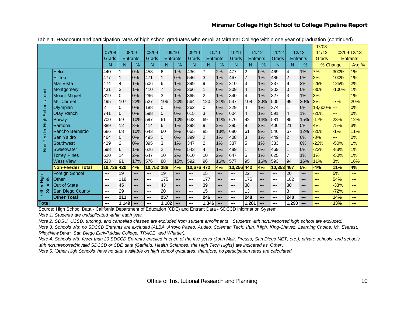|                 |                         |        |                 |                          |        |                  |       |        |                         |               |        |                 |       |                          |          |      | 07/08-   |         |                 |
|-----------------|-------------------------|--------|-----------------|--------------------------|--------|------------------|-------|--------|-------------------------|---------------|--------|-----------------|-------|--------------------------|----------|------|----------|---------|-----------------|
|                 |                         | 07/08  | 08/09           |                          | 08/09  | 09/10            |       | 09/10  | 10/11                   |               | 10/11  | 11/12           |       | 11/12                    | 12/13    |      | 11/12    |         | 08/09-12/13     |
|                 |                         | Grads  | <b>Entrants</b> |                          | Grads  | <b>Entrants</b>  |       | Grads  | Entrants                |               | Grads  | <b>Entrants</b> |       | Grads                    | Entrants |      | Grads    |         | <b>Entrants</b> |
|                 |                         | N      | N               | %                        | N      | N                | %     | N      | N                       | $\frac{9}{6}$ | N      | N               | %     | N                        | N        | $\%$ | % Change |         | Avg %           |
|                 | <b>Helix</b>            | 440    |                 | 0%                       | 458    | 6                | $1\%$ | 436    | 7                       | 2%            | 477    | 2               | 0%    | 469                      | 14       | 1%   | 7%       | 300%    | $1\%$           |
|                 | Hilltop                 | 477    |                 | 0%                       | 471    | $\mathbf{1}$     | 0%    | 546    | 3                       | 1%            | 467    |                 | 1%    | 486                      | l2       | 0%   | 2%       | 100%    | 1%              |
|                 | Mar Vista               | 474    | 4               | 1%                       | 506    | 6                | 1%    | 399    | 9                       | 2%            | 310    | 3               | 1%    | 337                      | 19       | 3%   | $-29%$   | 125%    | 2%              |
| cont.           | Montgomery              | 431    | 3               | 1%                       | 410    | $\overline{7}$   | 2%    | 366    |                         | 0%            | 309    | $\overline{4}$  | 1%    | 303                      | 10       | 0%   | $-30%$   | $-100%$ | 1%              |
|                 | <b>Mount Miguel</b>     | 319    | 10              | 0%                       | 296    | 3                | 1%    | 365    | $\overline{c}$          | 1%            | 340    | 4               | 1%    | 327                      | 3        | 1%   | 3%       | ---     | 1%              |
|                 | Mt. Carmel              | 495    | 107             | 22%                      | 527    | 106              | 20%   | 564    | 120                     | 21%           | 547    | 108             | 20%   | 505                      | 99       | 20%  | 2%       | $-7%$   | 20%             |
| <b>Schools</b>  | Olympian                |        | 0               | 0%                       | 188    | 0                | 0%    | 262    | 0                       | 0%            | 329    | $\overline{4}$  | 1%    | 374                      |          | 0%   | 18,600%  | ---     | 0%              |
|                 | <b>Otay Ranch</b>       | 741    | 10              | 0%                       | 598    | $\overline{0}$   | 0%    | 615    | 3                       | 0%            | 604    | $\overline{4}$  | 1%    | 591                      | 4        | 1%   | $-20%$   | ---     | 0%              |
|                 | Poway                   | 700    | 69              | 10%                      | 597    | 61               | 10%   | 633    | 69                      | 11%           | 676    | 92              | 14%   | 581                      | 85       | 15%  | $-17%$   | 23%     | 12%             |
|                 | Ramona                  | 389    | 12              | 3%                       | 414    | $6\overline{6}$  | 1%    | 398    | 9                       | 2%            | 385    | $\overline{9}$  | 2%    | 406                      | 21       | 5%   | 4%       | 75%     | 3%              |
|                 | Rancho Bernardo         | 686    | 68              | 10%                      | 643    | 60               | 9%    | 665    | 85                      | 13%           | 680    | 61              | 9%    | 546                      | 167      | 12%  | $-20%$   | $-1%$   | 11%             |
| Non-Feeder High | San Ysidro              | 464    | 10              | 0%                       | 495    | $\overline{0}$   | 0%    | 399    | $\overline{\mathbf{c}}$ | 1%            | 408    | 3               | 1%    | 449                      | 2        | 0%   | $-3%$    | ---     | 0%              |
|                 | Southwest               | 429    | $\overline{c}$  | 0%                       | 395    | $\overline{3}$   | 1%    | 347    | $\overline{2}$          | 1%            | 337    | 5               | 1%    | 333                      |          | 0%   | $-22%$   | $-50%$  | 1%              |
|                 | Sweetwater              | 598    | 6               | 1%                       | 626    | $\boldsymbol{2}$ | 0%    | 543    | $\overline{\mathbf{4}}$ | 1%            | 489    |                 | 0%    | 469                      | 11       | 0%   | $-22%$   | $-83%$  | 1%              |
|                 | <b>Torrey Pines</b>     | 620    | 14              | 2%                       | 647    | 10               | 2%    | 610    | 10                      | 2%            | 647    | 5               | 1%    | 625                      |          | 1%   | 1%       | $-50%$  | 1%              |
|                 | <b>West View</b>        | 533    | 91              | 17%                      | 576    | 88               | 15%   | 592    | 96                      | 16%           | 577    | 95              | 16%   | 593                      | 94       | 16%  | 11%      | 3%      | 16%             |
|                 | <b>Non-Feeder Total</b> | 10,736 | 420             | 4%                       | 10,752 | 386              | 4%    | 10,676 | 472                     | 4%            | 10,256 | 442             | 4%    | 10,353 467               |          | 5%   | $-4%$    | 11%     | 4%              |
|                 | <b>Foreign School</b>   | $---$  | 19              | ---                      | ---    | 19               | ---   | $---$  | 15                      | ---           | ---    | 22              | ---   | ---                      | 20       | ---  | ---      | 5%      | $---$           |
| High            | Other                   | ---    | 118             | ---                      | ---    | 175              | ---   | $---$  | 177                     | ---           | ---    | 175             | $---$ | ---                      | 182      | ---  | ---      | 54%     | $---$           |
| <b>Schools</b>  | Out of State            | $---$  | 45              | ---                      | $---$  | 43               | ---   | $---$  | 39                      | ---           | ---    | 38              | ---   | ---                      | 30       | ---  | ---      | $-33%$  | ---             |
| Other           | San Diego County        | ---    | 29              | ---                      | ---    | 20               | ---   | ---    | 15                      | ---           | ---    | 13              | ---   | ---                      | 8        | ---  | ---      | $-72%$  | ---             |
|                 | <b>Other Total</b>      | $---$  | 211             | ---                      | ---    | 257              | ---   | $---$  | 246                     | ---           | ---    | 248             | ---   | $\overline{\phantom{a}}$ | 240      | ---  | ---      | 14%     | $\sim$          |
| <b>Total</b>    |                         | ---    | 1.149           | $\overline{\phantom{a}}$ | ---    | 1,182            | ---   | ---    | 1,346                   | ---           | ---    | 1,281           |       | ---                      | 1,293    | ---  |          | 13%     | $\sim$          |

Table 1. Headcount and participation rates of high school graduates who enroll at Miramar College within one year of graduation (continued)

Source: High School Data - California Department of Education (CDE) and Entrant Data - SDCCD Information System

*Note 1. Students are unduplicated within each year.*

*Note 2. SDSU, UCSD, tutoring, and cancelled classes are excluded from student enrollments. Students with no/unreported high school are excluded.*

*Note 3. Schools with no SDCCD Entrants are excluded (ALBA, Arroyo Paseo, Audeo, Coleman Tech, Iftin, iHigh, King-Chavez, Learning Choice, Mt. Everest, Riley/New Dawn, San Diego Early/Middle College, TRACE, and Whittier).*

*Note 4. Schools with fewer than 20 SDCCD Entrants enrolled in each of the five years (John Muir, Preuss, San Diego MET, etc.), private schools, and schools with no/unreported/invalid SDCCD or CDE data (Garfield, Health Sciences, the High Tech Highs) are indicated as 'Other'.*

*Note 5. 'Other High Schools' have no data available on high school graduates; therefore, no participation rates are calculated.*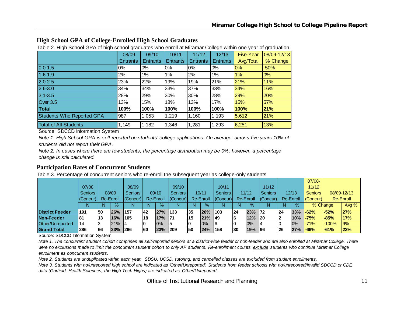| High School GPA of College-Enrolled High School Graduates |
|-----------------------------------------------------------|
|                                                           |

Table 2. High School GPA of high school graduates who enroll at Miramar College within one year of graduation

|                              | 08/09           | 09/10           | 10/11           | 11/12           | 12/13           | Five-Year | 08/09-12/13 |
|------------------------------|-----------------|-----------------|-----------------|-----------------|-----------------|-----------|-------------|
|                              | <b>Entrants</b> | <b>Entrants</b> | <b>Entrants</b> | <b>Entrants</b> | <b>Entrants</b> | Avg/Total | % Change    |
| $0.0 - 1.5$                  | 0%              | $0\%$           | 0%              | 0%              | 0%              | $0\%$     | $-50%$      |
| $1.6 - 1.9$                  | 2%              | 1%              | 1%              | 2%              | $1\%$           | 1%        | 0%          |
| $2.0 - 2.5$                  | 23%             | 22%             | 19%             | 19%             | 21%             | 21%       | 11%         |
| $2.6 - 3.0$                  | 34%             | 34%             | 33%             | 37%             | 33%             | 34%       | 16%         |
| $3.1 - 3.5$                  | 28%             | 29%             | 30%             | 30%             | 28%             | 29%       | 20%         |
| Over 3.5                     | 13%             | 15%             | 18%             | 13%             | 17%             | 15%       | 57%         |
| Total                        | 100%            | 100%            | 100%            | 100%            | 100%            | 100%      | 21%         |
| Students Who Reported GPA    | 987             | 1,053           | 1,219           | 1,160           | 1,193           | 5,612     | 21%         |
| <b>Total of All Students</b> | 1,149           | 1,182           | 1,346           | 1,281           | 1,293           | 6,251     | 13%         |

Source: SDCCD Information System

*Note 1. High School GPA is self-reported on students' college applications. On average, across five years 10% of students did not report their GPA.*

*Note 2. In cases where there are few students, the percentage distribution may be 0%; however, a percentage change is still calculated.*

#### **Participation Rates of Concurrent Students**

Table 3. Percentage of concurrent seniors who re-enroll the subsequent year as college-only students

|                        |                |     |           |                |           |               |                  |     |           |                  |    |             |                  |    |           | $07/08 -$ |          |             |
|------------------------|----------------|-----|-----------|----------------|-----------|---------------|------------------|-----|-----------|------------------|----|-------------|------------------|----|-----------|-----------|----------|-------------|
|                        | 07/08          |     |           | 08/09          |           |               | 09/10            |     |           | 10/11            |    |             | 11/12            |    |           | 11/12     |          |             |
|                        | <b>Seniors</b> |     | 08/09     | <b>Seniors</b> |           | 09/10         | <b>Seniors</b>   |     | 10/11     | <b>Seniors</b>   |    | 11/12       | <b>Seniors</b>   |    | 12/13     | Seniors   |          | 08/09-12/13 |
|                        | (Concur)       |     | Re-Enroll | (Concur)       |           | Re-Enroll     | $ $ (Concur) $ $ |     | Re-Enroll | $ $ (Concur) $ $ |    | Re-Enroll   | $ $ (Concur) $ $ |    | Re-Enroll | (Concur)  |          | Re-Enroll   |
|                        |                | N   | $\%$      | N              | N         | $\frac{9}{6}$ | N                | N   | $\%$      | N                | N  | $\%$        | N                |    | $\%$      |           | % Change | Avg %       |
| <b>District Feeder</b> | 191            | 150 | 26%       | 1157           | <b>42</b> | 27%           | 133              | 35  | 26%       | 103              | 24 | 23% 72      |                  | 24 | 33%       | $-62%$    | $-52%$   | 27%         |
| Non-Feeder             | 181            | 13  | 16%       | 1105           | 18        | 17%           | 171              | 15  | 21%       | 149              |    | $12\%$   20 |                  |    | 10%       | $-75%$    | $-85%$   | 17%         |
| Other/Unreported       | 114            |     | 21%       |                |           | $0\%$         |                  |     | 10%       |                  |    | 0%          |                  |    | $0\%$     | $-71%$    | $-100%$  | 9%          |
| <b>Grand Total</b>     | 286            | 66  | 23%       | <b>1266</b>    | 160       | 23%           | 209              | 150 | 24%       | 158              | 30 | 19%   96    |                  | 26 | 27%       | $-66%$    | $-61%$   | 23%         |

Source: SDCCD Information System

*Note 1. The concurrent student cohort comprises all self-reported seniors at a district-wide feeder or non-feeder who are also enrolled at Miramar College. There*  were no exclusions made to limit the concurrent student cohort to only AP students. Re-enrollment counts exclude students who continue Miramar College *enrollment as concurrent students.* 

*Note 2. Students are unduplicated within each year. SDSU, UCSD, tutoring, and cancelled classes are excluded from student enrollments.* 

*Note 3. Students with no/unreported high school are indicated as 'Other/Unreported'. Students from feeder schools with no/unreported/invalid SDCCD or CDE data (Garfield, Health Sciences, the High Tech Highs) are indicated as 'Other/Unreported'.*

Office of Institutional Research and Planning 11 and 11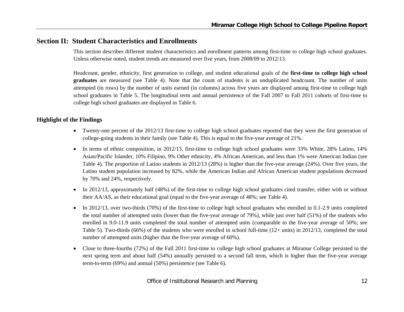## **Section II: Student Characteristics and Enrollments**

This section describes different student characteristics and enrollment patterns among first-time to college high school graduates. Unless otherwise noted, student trends are measured over five years, from 2008/09 to 2012/13.

Headcount, gender, ethnicity, first generation to college, and student educational goals of the **first-time to college high school graduates** are measured (see Table 4). Note that the count of students is an unduplicated headcount. The number of units attempted (in rows) by the number of units earned (in columns) across five years are displayed among first-time to college high school graduates in Table 5. The longitudinal term and annual persistence of the Fall 2007 to Fall 2011 cohorts of first-time to college high school graduates are displayed in Table 6.

#### **Highlight of the Findings**

- Twenty-one percent of the 2012/13 first-time to college high school graduates reported that they were the first generation of college-going students in their family (see Table 4). This is equal to the five-year average of 21%.
- In terms of ethnic composition, in 2012/13, first-time to college high school graduates were 33% White, 28% Latino, 14% Asian/Pacific Islander, 10% Filipino, 9% Other ethnicity, 4% African American, and less than 1% were American Indian (see Table 4). The proportion of Latino students in 2012/13 (28%) is higher than the five-year average (24%). Over five years, the Latino student population increased by 82%, while the American Indian and African American student populations decreased by 70% and 24%, respectively.
- $\bullet$  In 2012/13, approximately half (48%) of the first-time to college high school graduates cited transfer, either with or without their AA/AS, as their educational goal (equal to the five-year average of 48%; see Table 4).
- $\bullet$  In 2012/13, over two-thirds (70%) of the first-time to college high school graduates who enrolled in 0.1-2.9 units completed the total number of attempted units (lower than the five-year average of 79%), while just over half (51%) of the students who enrolled in 9.0-11.9 units completed the total number of attempted units (comparable to the five-year average of 50%; see Table 5). Two-thirds (66%) of the students who were enrolled in school full-time (12+ units) in 2012/13, completed the total number of attempted units (higher than the five-year average of 60%).
- $\bullet$  Close to three-fourths (72%) of the Fall 2011 first-time to college high school graduates at Miramar College persisted to the next spring term and about half (54%) annually persisted to a second fall term, which is higher than the five-year average term-to-term (69%) and annual (50%) persistence (see Table 6).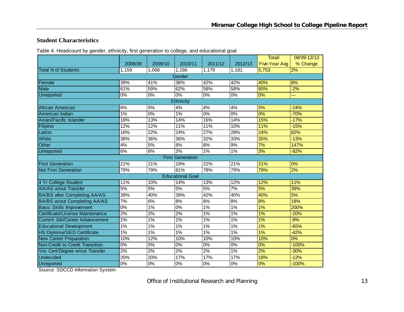#### **Student Characteristics**

Table 4. Headcount by gender, ethnicity, first generation to college, and educational goal

|                                       |                  |         |                         |                  |                  | Total/        | 08/09-12/13 |
|---------------------------------------|------------------|---------|-------------------------|------------------|------------------|---------------|-------------|
|                                       | 2008/09          | 2009/10 | 2010/11                 | 2011/12          | 2012/13          | Five-Year Avg | % Change    |
| <b>Total N of Students</b>            | 1,159            | 1,068   | 1,166                   | 1,179            | 1,181            | 5,753         | 2%          |
|                                       |                  |         | Gender                  |                  |                  |               |             |
| Female                                | 39%              | 41%     | 38%                     | 42%              | 42%              | 40%           | 8%          |
| <b>Male</b>                           | 61%              | 59%     | 62%                     | 58%              | 58%              | 60%           | $-2%$       |
| <b>Unreported</b>                     | 0%               | 0%      | 0%                      | $\overline{0\%}$ | $\overline{0\%}$ | 0%            | ш.          |
|                                       |                  |         | <b>Ethnicity</b>        |                  |                  |               |             |
| African American                      | 6%               | 5%      | 4%                      | 4%               | 4%               | 5%            | $-24%$      |
| American Indian                       | $1\%$            | $0\%$   | 1%                      | $\overline{0\%}$ | 0%               | 0%            | $-70%$      |
| Asian/Pacific Islander                | 18%              | 13%     | 14%                     | 16%              | 14%              | 15%           | $-17%$      |
| Filipino                              | 12%              | 12%     | 11%                     | 11%              | 10%              | 11%           | $-15%$      |
| Latino                                | 16%              | 22%     | 24%                     | $\frac{27\%}{ }$ | 28%              | 24%           | 82%         |
| White                                 | 38%              | 36%     | 36%                     | 32%              | 33%              | 35%           | $-13%$      |
| Other                                 | 4%               | 5%      | 8%                      | 8%               | 9%               | 7%            | 147%        |
| Unreported                            | 6%               | 6%      | 2%                      | $1\%$            | 1%               | 3%            | $-82%$      |
|                                       |                  |         | <b>First Generation</b> |                  |                  |               |             |
| <b>First Generation</b>               | 21%              | 21%     | 19%                     | 22%              | 21%              | 21%           | 0%          |
| <b>Not First Generation</b>           | 79%              | 79%     | 81%                     | 78%              | 79%              | 79%           | 2%          |
|                                       |                  |         | <b>Educational Goal</b> |                  |                  |               |             |
| 4 Yr College Student                  | 11%              | 10%     | 14%                     | 13%              | 12%              | 12%           | 11%         |
| <b>AA/AS w/out Transfer</b>           | 5%               | 5%      | 5%                      | 5%               | $\overline{7\%}$ | 5%            | 39%         |
| <b>BA/BS after Completing AA/AS</b>   | 39%              | 40%     | 39%                     | 42%              | 40%              | 40%           | 5%          |
| <b>BA/BS w/out Completing AA/AS</b>   | 7%               | 6%      | 8%                      | 8%               | 8%               | 8%            | 18%         |
| <b>Basic Skills Improvement</b>       | $\overline{0\%}$ | 1%      | 0%                      | $1\%$            | 1%               | 1%            | 200%        |
| Certificate/License Maintenance       | 2%               | 2%      | 2%                      | 1%               | 1%               | 1%            | $-20%$      |
| <b>Current Job/Career Advancement</b> | $1\%$            | 1%      | 1%                      | $1\%$            | 1%               | 1%            | $-8%$       |
| <b>Educational Development</b>        | 1%               | $1\%$   | 1%                      | 1%               | 1%               | 1%            | $-65%$      |
| HS Diploma/GED Certificate            | 1%               | 1%      | 1%                      | 1%               | 1%               | 1%            | $-42%$      |
| <b>New Career Preparation</b>         | 10%              | 12%     | 10%                     | 10%              | 10%              | 10%           | 0%          |
| Non-Credit to Credit Transition       | 0%               | $0\%$   | 0%                      | $\overline{0\%}$ | $0\%$            | 0%            | $-100%$     |
| Voc Cert/Degree w/out Transfer        | 2%               | 2%      | 2%                      | 2%               | 1%               | 2%            | $-30%$      |
| <b>Undecided</b>                      | 20%              | 20%     | 17%                     | 17%              | 17%              | 18%           | $-12%$      |
| Unreported                            | $\overline{0\%}$ | $0\%$   | 0%                      | $\overline{0\%}$ | 0%               | 0%            | $-100%$     |

Source: SDCCD Information System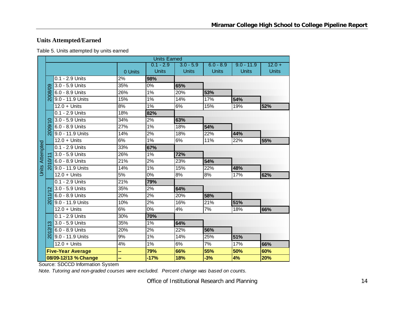## **Units Attempted/Earned**

| Table 5. Units attempted by units earned |  |
|------------------------------------------|--|
|------------------------------------------|--|

|                        |                     |                          |         | <b>Units Earned</b> |              |              |              |              |
|------------------------|---------------------|--------------------------|---------|---------------------|--------------|--------------|--------------|--------------|
|                        |                     |                          |         | $0.1 - 2.9$         | $3.0 - 5.9$  | $6.0 - 8.9$  | $9.0 - 11.9$ | $12.0 +$     |
|                        |                     |                          | 0 Units | <b>Units</b>        | <b>Units</b> | <b>Units</b> | <b>Units</b> | <b>Units</b> |
|                        |                     | 0.1 - 2.9 Units          | 2%      | 98%                 |              |              |              |              |
|                        |                     | 3.0 - 5.9 Units          | 35%     | 0%                  | 65%          |              |              |              |
|                        | 2008/09             | 6.0 - 8.9 Units          | 26%     | 1%                  | 20%          | 53%          |              |              |
|                        |                     | 9.0 - 11.9 Units         | 15%     | 1%                  | 14%          | 17%          | 54%          |              |
|                        |                     | $12.0 +$ Units           | 8%      | 1%                  | 6%           | 15%          | 19%          | 52%          |
|                        |                     | 0.1 - 2.9 Units          | 18%     | 82%                 |              |              |              |              |
|                        | $\circ$             | 3.0 - 5.9 Units          | 34%     | 2%                  | 63%          |              |              |              |
|                        | 2009                | 6.0 - 8.9 Units          | 27%     | 1%                  | 18%          | 54%          |              |              |
|                        |                     | 9.0 - 11.9 Units         | 14%     | 2%                  | 18%          | 22%          | 44%          |              |
|                        |                     | $12.0 +$ Units           | 6%      | 1%                  | 6%           | 11%          | 22%          | 55%          |
|                        |                     | 0.1 - 2.9 Units          | 33%     | 67%                 |              |              |              |              |
| <b>Units Attempted</b> |                     | 3.0 - 5.9 Units          | 26%     | $1\%$               | 72%          |              |              |              |
|                        |                     | 6.0 - 8.9 Units          | 21%     | 2%                  | 23%          | 54%          |              |              |
|                        | <u>న్</u>           | 9.0 - 11.9 Units         | 14%     | $1\%$               | 15%          | 22%          | 48%          |              |
|                        |                     | $12.0 +$ Units           | 5%      | 0%                  | 8%           | 8%           | 17%          | 62%          |
|                        |                     | 0.1 - 2.9 Units          | 21%     | 79%                 |              |              |              |              |
|                        | $\mathbf{\Omega}$   | 3.0 - 5.9 Units          | 35%     | 2%                  | 64%          |              |              |              |
|                        |                     | 6.0 - 8.9 Units          | 20%     | 2%                  | 20%          | 58%          |              |              |
|                        | $\overline{5}$      | 9.0 - 11.9 Units         | 10%     | 2%                  | 16%          | 21%          | 51%          |              |
|                        |                     | $12.0 +$ Units           | 6%      | 0%                  | 4%           | 7%           | 18%          | 66%          |
|                        |                     | 0.1 - 2.9 Units          | 30%     | 70%                 |              |              |              |              |
|                        | က                   | 3.0 - 5.9 Units          | 35%     | 1%                  | 64%          |              |              |              |
|                        | $\overline{\alpha}$ | 6.0 - 8.9 Units          | 20%     | 2%                  | 22%          | 56%          |              |              |
|                        | <u>Σ</u>            | 9.0 - 11.9 Units         | 9%      | $1\%$               | 14%          | 25%          | 51%          |              |
|                        |                     | $12.0 +$ Units           | 4%      | 1%                  | 6%           | 7%           | 17%          | 66%          |
|                        |                     | <b>Five-Year Average</b> | -−      | 79%                 | 66%          | 55%          | 50%          | 60%          |
|                        |                     | 08/09-12/13 % Change     | --      | $-17%$              | 18%          | $-3%$        | 4%           | 20%          |

Source: SDCCD Information System

*Note. Tutoring and non-graded courses were excluded. Percent change was based on counts.*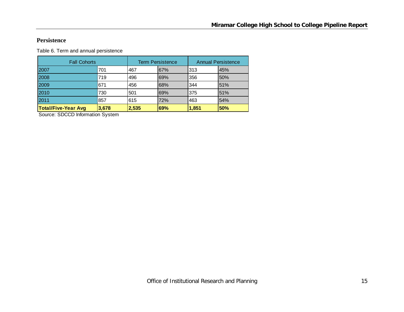#### **Persistence**

Table 6. Term and annual persistence

| <b>Fall Cohorts</b>        |       |       | <b>Term Persistence</b> |       | <b>Annual Persistence</b> |
|----------------------------|-------|-------|-------------------------|-------|---------------------------|
| 2007                       | 701   | 467   | 67%                     | 313   | 45%                       |
| 2008                       | 719   | 496   | 69%                     | 356   | 50%                       |
| 2009                       | 671   | 456   | 68%                     | 344   | 51%                       |
| 2010                       | 730   | 501   | 69%                     | 375   | 51%                       |
| 2011                       | 857   | 615   | 72%                     | 463   | 54%                       |
| <b>Total/Five-Year Avg</b> | 3,678 | 2,535 | 69%                     | 1,851 | 50%                       |

Source: SDCCD Information System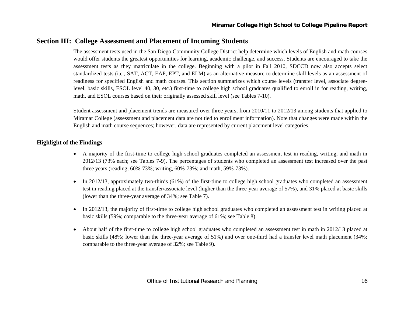## **Section III: College Assessment and Placement of Incoming Students**

The assessment tests used in the San Diego Community College District help determine which levels of English and math courses would offer students the greatest opportunities for learning, academic challenge, and success. Students are encouraged to take the assessment tests as they matriculate in the college. Beginning with a pilot in Fall 2010, SDCCD now also accepts select standardized tests (i.e., SAT, ACT, EAP, EPT, and ELM) as an alternative measure to determine skill levels as an assessment of readiness for specified English and math courses. This section summarizes which course levels (transfer level, associate degreelevel, basic skills, ESOL level 40, 30, etc.) first-time to college high school graduates qualified to enroll in for reading, writing, math, and ESOL courses based on their originally assessed skill level (see Tables 7-10).

Student assessment and placement trends are measured over three years, from 2010/11 to 2012/13 among students that applied to Miramar College (assessment and placement data are not tied to enrollment information). Note that changes were made within the English and math course sequences; however, data are represented by current placement level categories.

## **Highlight of the Findings**

- A majority of the first-time to college high school graduates completed an assessment test in reading, writing, and math in 2012/13 (73% each; see Tables 7-9). The percentages of students who completed an assessment test increased over the past three years (reading, 60%-73%; writing, 60%-73%; and math, 59%-73%).
- 6 In 2012/13, approximately two-thirds (61%) of the first-time to college high school graduates who completed an assessment test in reading placed at the transfer/associate level (higher than the three-year average of 57%), and 31% placed at basic skills (lower than the three-year average of 34%; see Table 7).
- $\bullet$  In 2012/13, the majority of first-time to college high school graduates who completed an assessment test in writing placed at basic skills (59%; comparable to the three-year average of 61%; see Table 8).
- c About half of the first-time to college high school graduates who completed an assessment test in math in 2012/13 placed at basic skills (48%; lower than the three-year average of 51%) and over one-third had a transfer level math placement (34%; comparable to the three-year average of 32%; see Table 9).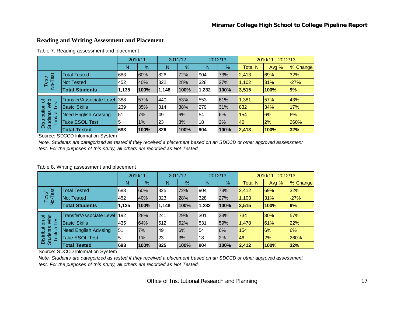## **Reading and Writing Assessment and Placement**

Table 7. Reading assessment and placement

|                                                |                                 | 2010/11 |      |       | 2011/12 |       | 2012/13       | 2010/11 - 2012/13 |         |          |
|------------------------------------------------|---------------------------------|---------|------|-------|---------|-------|---------------|-------------------|---------|----------|
|                                                |                                 | N       | %    | N     | %       | N     | $\frac{9}{6}$ | <b>Total N</b>    | Avg $%$ | % Change |
| est                                            | <b>Total Tested</b>             | 683     | 60%  | 826   | 72%     | 904   | 73%           | 2,413             | 69%     | 32%      |
| Test<br>$\frac{1}{2}$                          | Not Tested                      | 452     | 40%  | 322   | 28%     | 328   | 27%           | 1,102             | 31%     | $-27%$   |
|                                                | <b>Total Students</b>           | 1,135   | 100% | 1,148 | 100%    | 1,232 | 100%          | 3,515             | 100%    | 9%       |
|                                                | <b>Transfer/Associate Level</b> | 388     | 57%  | 440   | 53%     | 553   | 61%           | 1,381             | 57%     | 43%      |
| ৳<br><b>NVho</b>                               |                                 |         |      |       |         |       |               |                   |         |          |
| Test                                           | <b>Basic Skills</b>             | 239     | 35%  | 314   | 38%     | l279  | 31%           | 832               | 34%     | 17%      |
| ω                                              | <b>Need English Advising</b>    | 51      | 7%   | 49    | 6%      | 54    | 6%            | 154               | 6%      | 6%       |
| Distribution<br><b>Students</b><br><b>Took</b> | <b>Take ESOL Test</b>           | 5       | 1%   | 23    | 3%      | 18    | 2%            | 46                | 2%      | 260%     |
|                                                | <b>Total Tested</b>             | 683     | 100% | 826   | 100%    | 904   | 100%          | 2,413             | 100%    | 32%      |

Source: SDCCD Information System

*Note. Students are categorized as tested if they received a placement based on an SDCCD or other approved assessment test. For the purposes of this study, all others are recorded as Not Tested.*

#### Table 8. Writing assessment and placement

|                                         |                                 | 2010/11 |      |       | 2011/12 |       | 2012/13 |                | 2010/11 - 2012/13 |          |  |
|-----------------------------------------|---------------------------------|---------|------|-------|---------|-------|---------|----------------|-------------------|----------|--|
|                                         |                                 | N       | %    | N     | %       | N     | %       | <b>Total N</b> | Avg $%$           | % Change |  |
| est                                     | <b>Total Tested</b>             | 683     | 60%  | 825   | 72%     | 904   | 73%     | 2,412          | 69%               | 32%      |  |
| Test/<br>$\overline{P}$                 | Not Tested                      | 452     | 40%  | 323   | 28%     | 328   | 27%     | 1,103          | 31%               | $-27%$   |  |
|                                         | <b>Total Students</b>           | 1,135   | 100% | 1,148 | 100%    | 1,232 | 100%    | 3,515          | 100%              | 9%       |  |
| ৳                                       | <b>Transfer/Associate Level</b> | 192     | 28%  | 241   | 29%     | 301   | 33%     | 734            | 30%               | 57%      |  |
| Who<br>est                              | <b>Basic Skills</b>             | 435     | 64%  | 512   | 62%     | 531   | 59%     | 1,478          | 61%               | 22%      |  |
| σ                                       | <b>Need English Advising</b>    | 51      | 7%   | 49    | 6%      | 54    | 6%      | 154            | 6%                | 6%       |  |
| Distribution<br><b>Students</b><br>Took | <b>Take ESOL Test</b>           | 5       | 1%   | 23    | 3%      | 18    | 2%      | 46             | 2%                | 260%     |  |
|                                         | <b>Total Tested</b>             | 683     | 100% | 825   | 100%    | 1904  | 100%    | 2,412          | 100%              | 32%      |  |

Source: SDCCD Information System

*Note. Students are categorized as tested if they received a placement based on an SDCCD or other approved assessment test. For the purposes of this study, all others are recorded as Not Tested.*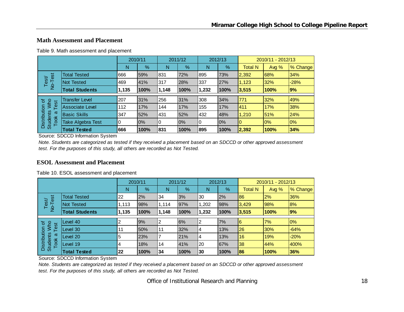#### **Math Assessment and Placement**

|  | Table 9. Math assessment and placement |  |  |
|--|----------------------------------------|--|--|
|--|----------------------------------------|--|--|

|                                         |                        | 2010/11 |       | 2011/12 |      | 2012/13 |      | 2010/11 - 2012/13 |         |          |
|-----------------------------------------|------------------------|---------|-------|---------|------|---------|------|-------------------|---------|----------|
|                                         |                        | N       | %     | N       | %    | N       | %    | <b>Total N</b>    | Avg $%$ | % Change |
| est                                     | <b>Total Tested</b>    | 666     | 59%   | 831     | 72%  | 895     | 73%  | 2,392             | 68%     | 34%      |
| Test<br>$\overline{2}$                  | <b>Not Tested</b>      | 469     | 41%   | 317     | 28%  | 337     | 27%  | 1,123             | 32%     | $-28%$   |
|                                         | <b>Total Students</b>  | 1,135   | 100%  | 1,148   | 100% | 1,232   | 100% | 3,515             | 100%    | 9%       |
|                                         |                        |         |       |         |      |         |      |                   |         |          |
| ৳                                       | <b>Transfer Level</b>  | 207     | 31%   | 256     | 31%  | 308     | 34%  | 771               | 32%     | 49%      |
| <b>Nyho</b><br>Test                     | <b>Associate Level</b> | 112     | 17%   | 144     | 17%  | 155     | 17%  | 411               | 17%     | 38%      |
| ω                                       | <b>Basic Skills</b>    | 347     | 52%   | 431     | 52%  | 432     | 48%  | 1,210             | 51%     | 24%      |
| Distribution<br><b>Students</b><br>Took | Take Algebra Test      | 0       | $0\%$ | 0       | 0%   | 0       | 0%   | I0                | 10%     | 0%       |
|                                         | <b>Total Tested</b>    | 666     | 100%  | 831     | 100% | 895     | 100% | 2,392             | 100%    | 34%      |

Source: SDCCD Information System

*Note. Students are categorized as tested if they received a placement based on an SDCCD or other approved assessment test. For the purposes of this study, all others are recorded as Not Tested.*

#### **ESOL Assessment and Placement**

|  | Table 10. ESOL assessment and placement |  |
|--|-----------------------------------------|--|
|--|-----------------------------------------|--|

|                                              |                       | 2010/11 |      | 2011/12 |      | 2012/13 |      | 2010/11 - 2012/13 |       |          |
|----------------------------------------------|-----------------------|---------|------|---------|------|---------|------|-------------------|-------|----------|
|                                              |                       | N       | $\%$ | N       | %    | Ν       | $\%$ | <b>Total N</b>    | Avg % | % Change |
| est                                          | <b>Total Tested</b>   | 22      | 2%   | 34      | 3%   | 30      | 2%   | 86                | 2%    | 36%      |
| Test/<br>$\frac{1}{2}$                       | <b>Not Tested</b>     | 1,113   | 98%  | 1,114   | 97%  | ,202    | 98%  | 3,429             | 98%   | 8%       |
|                                              | <b>Total Students</b> | 1,135   | 100% | 1.148   | 100% | 1.232   | 100% | 3,515             | 100%  | $ 9\% $  |
|                                              |                       |         |      |         |      |         |      |                   |       |          |
| ৳<br><b>Who</b>                              | evel 40.              | 2       | 9%   | າ<br>∠  | 6%   | 2       | 7%   | 6                 | 7%    | 0%       |
| Test                                         | evel 30               | 11      | 50%  | 11      | 32%  | 4       | 13%  | 26                | 30%   | $-64%$   |
| Distribution<br><b>Students</b><br>ω<br>Took | evel 20               | 5       | 23%  |         | 21%  | 4       | 13%  | 16                | 19%   | $-20%$   |
|                                              | Level 19              | 4       | 18%  | 14      | 41%  | 20      | 67%  | 38                | 44%   | 400%     |
|                                              | <b>Total Tested</b>   | 22      | 100% | 34      | 100% | 30      | 100% | 86                | 100%  | 36%      |

Source: SDCCD Information System

*Note. Students are categorized as tested if they received a placement based on an SDCCD or other approved assessment test. For the purposes of this study, all others are recorded as Not Tested.*

Office of Institutional Research and Planning 18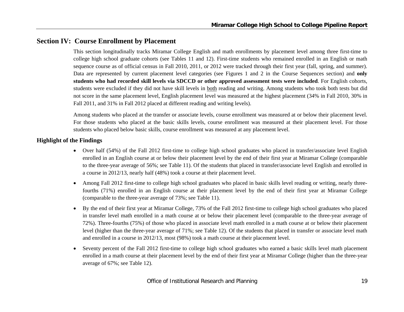## **Section IV: Course Enrollment by Placement**

This section longitudinally tracks Miramar College English and math enrollments by placement level among three first-time to college high school graduate cohorts (see Tables 11 and 12). First-time students who remained enrolled in an English or math sequence course as of official census in Fall 2010, 2011, or 2012 were tracked through their first year (fall, spring, and summer). Data are represented by current placement level categories (see Figures 1 and 2 in the Course Sequences section) and **only students who had recorded skill levels via SDCCD or other approved assessment tests were included**. For English cohorts, students were excluded if they did not have skill levels in both reading and writing. Among students who took both tests but did not score in the same placement level, English placement level was measured at the highest placement (34% in Fall 2010, 30% in Fall 2011, and 31% in Fall 2012 placed at different reading and writing levels).

Among students who placed at the transfer or associate levels, course enrollment was measured at or below their placement level. For those students who placed at the basic skills levels, course enrollment was measured at their placement level. For those students who placed below basic skills, course enrollment was measured at any placement level.

#### **Highlight of the Findings**

- Over half (54%) of the Fall 2012 first-time to college high school graduates who placed in transfer/associate level English enrolled in an English course at or below their placement level by the end of their first year at Miramar College (comparable to the three-year average of 56%; see Table 11). Of the students that placed in transfer/associate level English and enrolled in a course in 2012/13, nearly half (48%) took a course at their placement level.
- $\bullet$  Among Fall 2012 first-time to college high school graduates who placed in basic skills level reading or writing, nearly threefourths (71%) enrolled in an English course at their placement level by the end of their first year at Miramar College (comparable to the three-year average of 73%; see Table 11).
- $\bullet$  By the end of their first year at Miramar College, 73% of the Fall 2012 first-time to college high school graduates who placed in transfer level math enrolled in a math course at or below their placement level (comparable to the three-year average of 72%). Three-fourths (75%) of those who placed in associate level math enrolled in a math course at or below their placement level (higher than the three-year average of 71%; see Table 12). Of the students that placed in transfer or associate level math and enrolled in a course in 2012/13, most (98%) took a math course at their placement level.
- $\bullet$  Seventy percent of the Fall 2012 first-time to college high school graduates who earned a basic skills level math placement enrolled in a math course at their placement level by the end of their first year at Miramar College (higher than the three-year average of 67%; see Table 12).